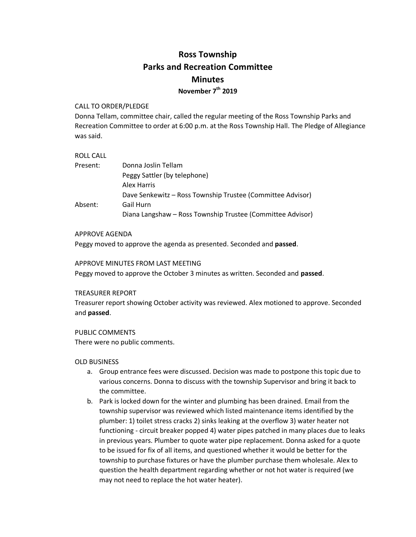# **Ross Township Parks and Recreation Committee Minutes November 7th 2019**

## CALL TO ORDER/PLEDGE

Donna Tellam, committee chair, called the regular meeting of the Ross Township Parks and Recreation Committee to order at 6:00 p.m. at the Ross Township Hall. The Pledge of Allegiance was said.

## ROLL CALL

| Present: | Donna Joslin Tellam                                        |
|----------|------------------------------------------------------------|
|          | Peggy Sattler (by telephone)                               |
|          | Alex Harris                                                |
|          | Dave Senkewitz - Ross Township Trustee (Committee Advisor) |
| Absent:  | Gail Hurn                                                  |
|          | Diana Langshaw - Ross Township Trustee (Committee Advisor) |

### APPROVE AGENDA

Peggy moved to approve the agenda as presented. Seconded and **passed**.

### APPROVE MINUTES FROM LAST MEETING

Peggy moved to approve the October 3 minutes as written. Seconded and **passed**.

#### TREASURER REPORT

Treasurer report showing October activity was reviewed. Alex motioned to approve. Seconded and **passed**.

## PUBLIC COMMENTS

There were no public comments.

## OLD BUSINESS

- a. Group entrance fees were discussed. Decision was made to postpone this topic due to various concerns. Donna to discuss with the township Supervisor and bring it back to the committee.
- b. Park is locked down for the winter and plumbing has been drained. Email from the township supervisor was reviewed which listed maintenance items identified by the plumber: 1) toilet stress cracks 2) sinks leaking at the overflow 3) water heater not functioning - circuit breaker popped 4) water pipes patched in many places due to leaks in previous years. Plumber to quote water pipe replacement. Donna asked for a quote to be issued for fix of all items, and questioned whether it would be better for the township to purchase fixtures or have the plumber purchase them wholesale. Alex to question the health department regarding whether or not hot water is required (we may not need to replace the hot water heater).